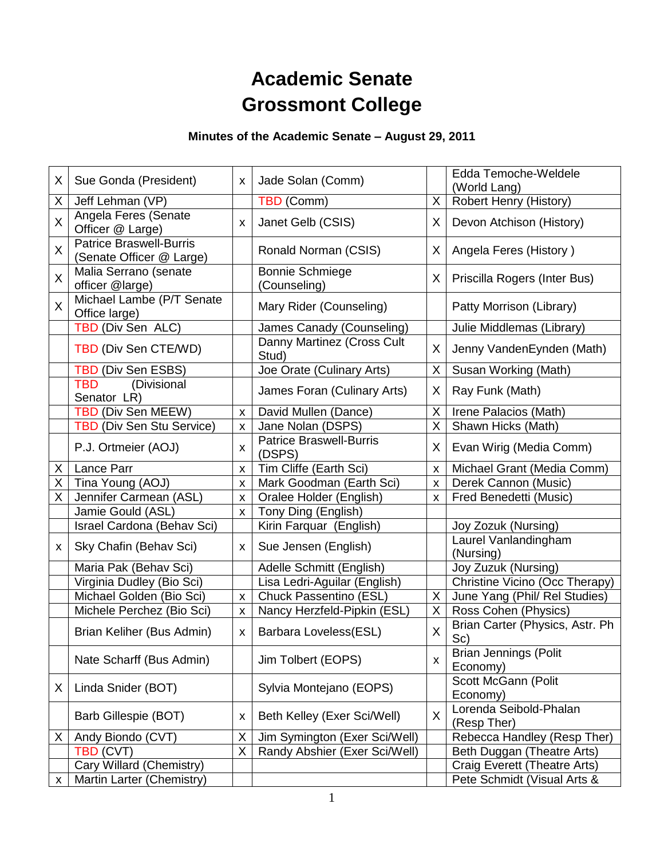# **Academic Senate Grossmont College**

# **Minutes of the Academic Senate – August 29, 2011**

| X.           | Sue Gonda (President)                                      | X | Jade Solan (Comm)                        |            | Edda Temoche-Weldele<br>(World Lang)     |
|--------------|------------------------------------------------------------|---|------------------------------------------|------------|------------------------------------------|
| X            | Jeff Lehman (VP)                                           |   | TBD (Comm)                               | X          | Robert Henry (History)                   |
| X            | Angela Feres (Senate<br>Officer @ Large)                   | X | Janet Gelb (CSIS)                        | X.         | Devon Atchison (History)                 |
| X            | <b>Patrice Braswell-Burris</b><br>(Senate Officer @ Large) |   | Ronald Norman (CSIS)                     | X          | Angela Feres (History)                   |
| $\mathsf{X}$ | Malia Serrano (senate<br>officer @large)                   |   | <b>Bonnie Schmiege</b><br>(Counseling)   | X          | Priscilla Rogers (Inter Bus)             |
| X.           | Michael Lambe (P/T Senate<br>Office large)                 |   | Mary Rider (Counseling)                  |            | Patty Morrison (Library)                 |
|              | TBD (Div Sen ALC)                                          |   | James Canady (Counseling)                |            | Julie Middlemas (Library)                |
|              | TBD (Div Sen CTE/WD)                                       |   | Danny Martinez (Cross Cult<br>Stud)      | X.         | Jenny VandenEynden (Math)                |
|              | TBD (Div Sen ESBS)                                         |   | Joe Orate (Culinary Arts)                | X          | Susan Working (Math)                     |
|              | (Divisional<br><b>TBD</b><br>Senator LR)                   |   | James Foran (Culinary Arts)              | X.         | Ray Funk (Math)                          |
|              | TBD (Div Sen MEEW)                                         | X | David Mullen (Dance)                     | X          | Irene Palacios (Math)                    |
|              | <b>TBD (Div Sen Stu Service)</b>                           | X | Jane Nolan (DSPS)                        | X          | Shawn Hicks (Math)                       |
|              | P.J. Ortmeier (AOJ)                                        | X | <b>Patrice Braswell-Burris</b><br>(DSPS) | X.         | Evan Wirig (Media Comm)                  |
| Χ            | Lance Parr                                                 | X | Tim Cliffe (Earth Sci)                   | X          | Michael Grant (Media Comm)               |
| X            | Tina Young (AOJ)                                           | X | Mark Goodman (Earth Sci)                 | $\times$   | Derek Cannon (Music)                     |
| Χ            | Jennifer Carmean (ASL)                                     | X | Oralee Holder (English)                  | $\times$ 1 | Fred Benedetti (Music)                   |
|              | Jamie Gould (ASL)                                          | X | Tony Ding (English)                      |            |                                          |
|              | Israel Cardona (Behav Sci)                                 |   | Kirin Farquar (English)                  |            | Joy Zozuk (Nursing)                      |
| X            | Sky Chafin (Behav Sci)                                     | x | Sue Jensen (English)                     |            | Laurel Vanlandingham<br>(Nursing)        |
|              | Maria Pak (Behav Sci)                                      |   | Adelle Schmitt (English)                 |            | Joy Zuzuk (Nursing)                      |
|              | Virginia Dudley (Bio Sci)                                  |   | Lisa Ledri-Aguilar (English)             |            | Christine Vicino (Occ Therapy)           |
|              | Michael Golden (Bio Sci)                                   | X | Chuck Passentino (ESL)                   | X          | June Yang (Phil/ Rel Studies)            |
|              | Michele Perchez (Bio Sci)                                  | X | Nancy Herzfeld-Pipkin (ESL)              | $X_{-}$    | Ross Cohen (Physics)                     |
|              | Brian Keliher (Bus Admin)                                  | X | Barbara Loveless(ESL)                    | X          | Brian Carter (Physics, Astr. Ph<br>Sc)   |
|              | Nate Scharff (Bus Admin)                                   |   | Jim Tolbert (EOPS)                       | X          | <b>Brian Jennings (Polit</b><br>Economy) |
| X            | Linda Snider (BOT)                                         |   | Sylvia Montejano (EOPS)                  |            | Scott McGann (Polit<br>Economy)          |
|              | Barb Gillespie (BOT)                                       | x | Beth Kelley (Exer Sci/Well)              | X          | Lorenda Seibold-Phalan<br>(Resp Ther)    |
| Χ            | Andy Biondo (CVT)                                          | Χ | Jim Symington (Exer Sci/Well)            |            | Rebecca Handley (Resp Ther)              |
|              | TBD (CVT)                                                  | X | Randy Abshier (Exer Sci/Well)            |            | Beth Duggan (Theatre Arts)               |
|              | Cary Willard (Chemistry)                                   |   |                                          |            | Craig Everett (Theatre Arts)             |
| X            | Martin Larter (Chemistry)                                  |   |                                          |            | Pete Schmidt (Visual Arts &              |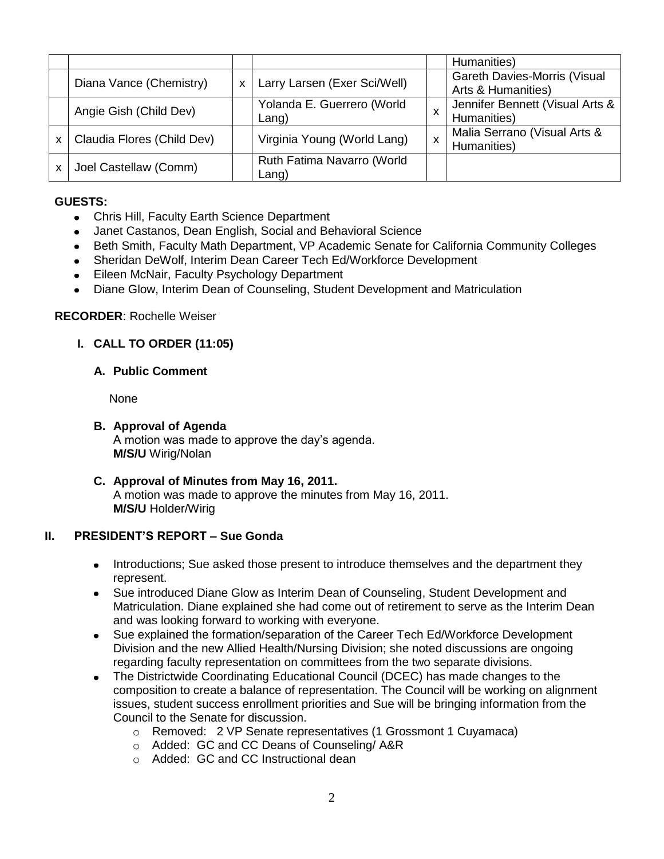|   |                            |   |                                     |   | Humanities)                                               |
|---|----------------------------|---|-------------------------------------|---|-----------------------------------------------------------|
|   | Diana Vance (Chemistry)    | X | Larry Larsen (Exer Sci/Well)        |   | <b>Gareth Davies-Morris (Visual</b><br>Arts & Humanities) |
|   | Angie Gish (Child Dev)     |   | Yolanda E. Guerrero (World<br>Lang) | х | Jennifer Bennett (Visual Arts &<br>Humanities)            |
| X | Claudia Flores (Child Dev) |   | Virginia Young (World Lang)         | X | Malia Serrano (Visual Arts &<br>Humanities)               |
|   | Joel Castellaw (Comm)      |   | Ruth Fatima Navarro (World<br>Lang) |   |                                                           |

# **GUESTS:**

- Chris Hill, Faculty Earth Science Department
- Janet Castanos, Dean English, Social and Behavioral Science
- Beth Smith, Faculty Math Department, VP Academic Senate for California Community Colleges  $\bullet$
- Sheridan DeWolf, Interim Dean Career Tech Ed/Workforce Development  $\bullet$
- Eileen McNair, Faculty Psychology Department  $\bullet$
- Diane Glow, Interim Dean of Counseling, Student Development and Matriculation  $\bullet$

# **RECORDER**: Rochelle Weiser

# **I. CALL TO ORDER (11:05)**

#### **A. Public Comment**

None

- **B. Approval of Agenda** A motion was made to approve the day's agenda. **M/S/U** Wirig/Nolan
- **C. Approval of Minutes from May 16, 2011.** A motion was made to approve the minutes from May 16, 2011. **M/S/U** Holder/Wirig

# **II. PRESIDENT'S REPORT – Sue Gonda**

- Introductions; Sue asked those present to introduce themselves and the department they represent.
- Sue introduced Diane Glow as Interim Dean of Counseling, Student Development and  $\bullet$ Matriculation. Diane explained she had come out of retirement to serve as the Interim Dean and was looking forward to working with everyone.
- Sue explained the formation/separation of the Career Tech Ed/Workforce Development  $\bullet$ Division and the new Allied Health/Nursing Division; she noted discussions are ongoing regarding faculty representation on committees from the two separate divisions.
- The Districtwide Coordinating Educational Council (DCEC) has made changes to the  $\bullet$ composition to create a balance of representation. The Council will be working on alignment issues, student success enrollment priorities and Sue will be bringing information from the Council to the Senate for discussion.
	- o Removed: 2 VP Senate representatives (1 Grossmont 1 Cuyamaca)
	- o Added: GC and CC Deans of Counseling/ A&R
	- o Added: GC and CC Instructional dean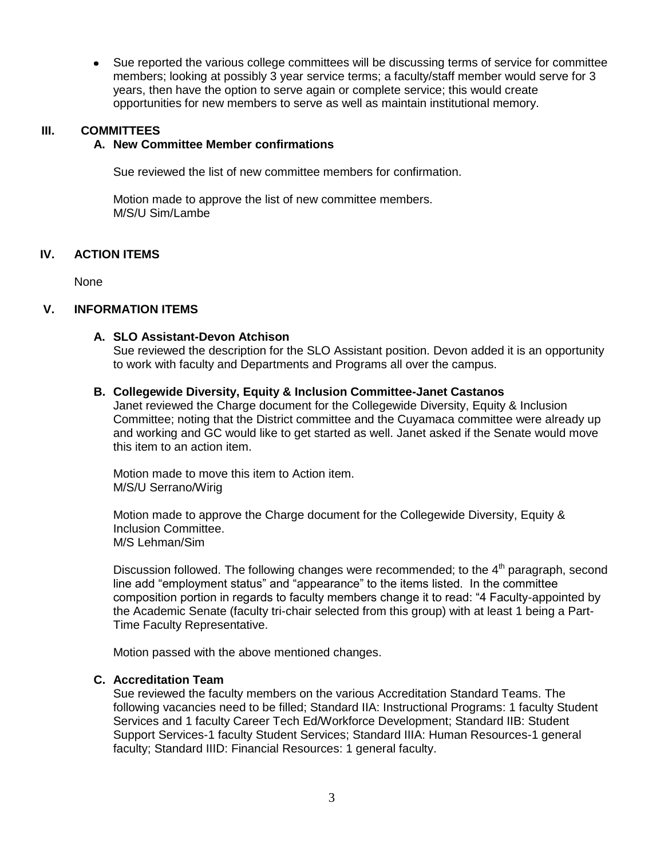Sue reported the various college committees will be discussing terms of service for committee  $\bullet$ members; looking at possibly 3 year service terms; a faculty/staff member would serve for 3 years, then have the option to serve again or complete service; this would create opportunities for new members to serve as well as maintain institutional memory.

#### **III. COMMITTEES**

#### **A. New Committee Member confirmations**

Sue reviewed the list of new committee members for confirmation.

Motion made to approve the list of new committee members. M/S/U Sim/Lambe

#### **IV. ACTION ITEMS**

None

#### **V. INFORMATION ITEMS**

#### **A. SLO Assistant-Devon Atchison**

Sue reviewed the description for the SLO Assistant position. Devon added it is an opportunity to work with faculty and Departments and Programs all over the campus.

#### **B. Collegewide Diversity, Equity & Inclusion Committee-Janet Castanos**

Janet reviewed the Charge document for the Collegewide Diversity, Equity & Inclusion Committee; noting that the District committee and the Cuyamaca committee were already up and working and GC would like to get started as well. Janet asked if the Senate would move this item to an action item.

Motion made to move this item to Action item. M/S/U Serrano/Wirig

Motion made to approve the Charge document for the Collegewide Diversity, Equity & Inclusion Committee. M/S Lehman/Sim

Discussion followed. The following changes were recommended; to the  $4<sup>th</sup>$  paragraph, second line add "employment status" and "appearance" to the items listed. In the committee composition portion in regards to faculty members change it to read: "4 Faculty-appointed by the Academic Senate (faculty tri-chair selected from this group) with at least 1 being a Part-Time Faculty Representative.

Motion passed with the above mentioned changes.

#### **C. Accreditation Team**

Sue reviewed the faculty members on the various Accreditation Standard Teams. The following vacancies need to be filled; Standard IIA: Instructional Programs: 1 faculty Student Services and 1 faculty Career Tech Ed/Workforce Development; Standard IIB: Student Support Services-1 faculty Student Services; Standard IIIA: Human Resources-1 general faculty; Standard IIID: Financial Resources: 1 general faculty.